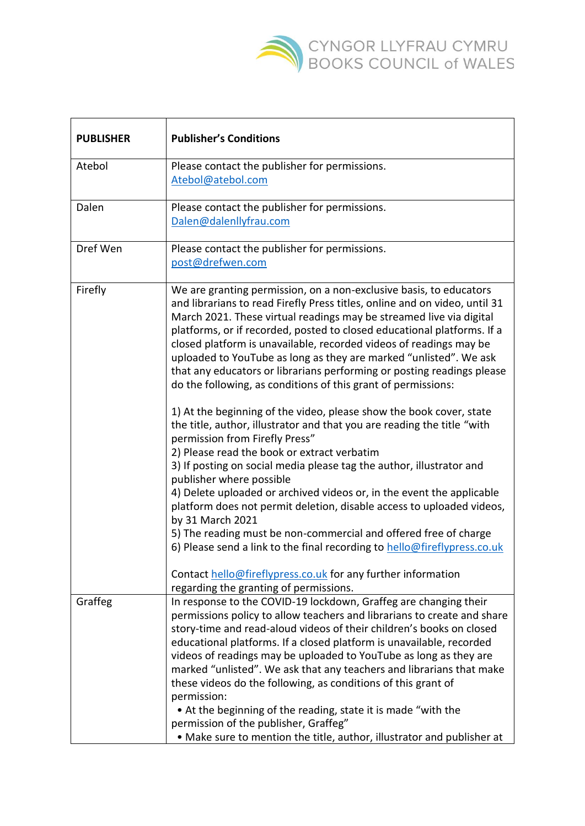

| <b>PUBLISHER</b> | <b>Publisher's Conditions</b>                                                                                                                                                                                                                                                                                                                                                                                                                                                                                                                                                                                                                                                                                                                                                                                                                                                                                                                                                                                                                                                                                                                                                                                                                                                                                                                                   |
|------------------|-----------------------------------------------------------------------------------------------------------------------------------------------------------------------------------------------------------------------------------------------------------------------------------------------------------------------------------------------------------------------------------------------------------------------------------------------------------------------------------------------------------------------------------------------------------------------------------------------------------------------------------------------------------------------------------------------------------------------------------------------------------------------------------------------------------------------------------------------------------------------------------------------------------------------------------------------------------------------------------------------------------------------------------------------------------------------------------------------------------------------------------------------------------------------------------------------------------------------------------------------------------------------------------------------------------------------------------------------------------------|
| Atebol           | Please contact the publisher for permissions.<br>Atebol@atebol.com                                                                                                                                                                                                                                                                                                                                                                                                                                                                                                                                                                                                                                                                                                                                                                                                                                                                                                                                                                                                                                                                                                                                                                                                                                                                                              |
| Dalen            | Please contact the publisher for permissions.<br>Dalen@dalenllyfrau.com                                                                                                                                                                                                                                                                                                                                                                                                                                                                                                                                                                                                                                                                                                                                                                                                                                                                                                                                                                                                                                                                                                                                                                                                                                                                                         |
| Dref Wen         | Please contact the publisher for permissions.<br>post@drefwen.com                                                                                                                                                                                                                                                                                                                                                                                                                                                                                                                                                                                                                                                                                                                                                                                                                                                                                                                                                                                                                                                                                                                                                                                                                                                                                               |
| Firefly          | We are granting permission, on a non-exclusive basis, to educators<br>and librarians to read Firefly Press titles, online and on video, until 31<br>March 2021. These virtual readings may be streamed live via digital<br>platforms, or if recorded, posted to closed educational platforms. If a<br>closed platform is unavailable, recorded videos of readings may be<br>uploaded to YouTube as long as they are marked "unlisted". We ask<br>that any educators or librarians performing or posting readings please<br>do the following, as conditions of this grant of permissions:<br>1) At the beginning of the video, please show the book cover, state<br>the title, author, illustrator and that you are reading the title "with<br>permission from Firefly Press"<br>2) Please read the book or extract verbatim<br>3) If posting on social media please tag the author, illustrator and<br>publisher where possible<br>4) Delete uploaded or archived videos or, in the event the applicable<br>platform does not permit deletion, disable access to uploaded videos,<br>by 31 March 2021<br>5) The reading must be non-commercial and offered free of charge<br>6) Please send a link to the final recording to hello@fireflypress.co.uk<br>Contact hello@fireflypress.co.uk for any further information<br>regarding the granting of permissions. |
| Graffeg          | In response to the COVID-19 lockdown, Graffeg are changing their<br>permissions policy to allow teachers and librarians to create and share<br>story-time and read-aloud videos of their children's books on closed<br>educational platforms. If a closed platform is unavailable, recorded<br>videos of readings may be uploaded to YouTube as long as they are<br>marked "unlisted". We ask that any teachers and librarians that make<br>these videos do the following, as conditions of this grant of<br>permission:                                                                                                                                                                                                                                                                                                                                                                                                                                                                                                                                                                                                                                                                                                                                                                                                                                        |
|                  | • At the beginning of the reading, state it is made "with the<br>permission of the publisher, Graffeg"<br>. Make sure to mention the title, author, illustrator and publisher at                                                                                                                                                                                                                                                                                                                                                                                                                                                                                                                                                                                                                                                                                                                                                                                                                                                                                                                                                                                                                                                                                                                                                                                |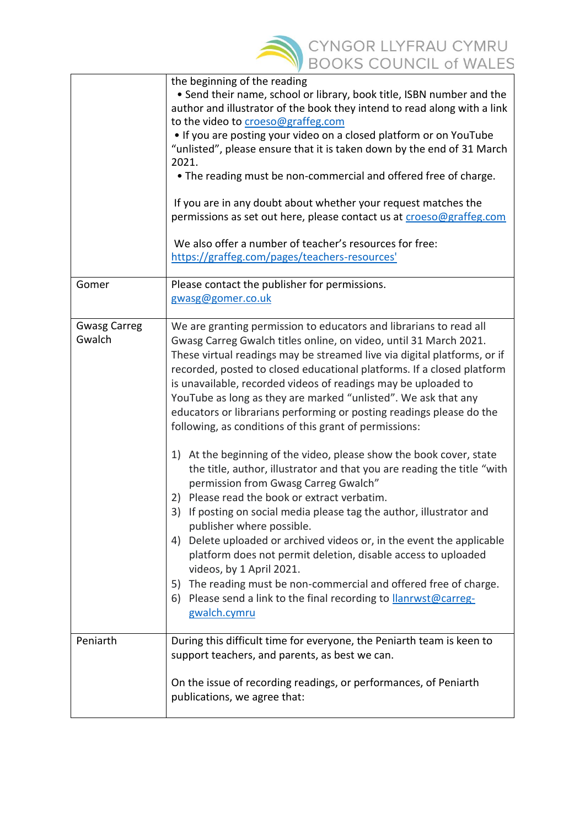

|                               | the beginning of the reading<br>• Send their name, school or library, book title, ISBN number and the<br>author and illustrator of the book they intend to read along with a link<br>to the video to croeso@graffeg.com<br>. If you are posting your video on a closed platform or on YouTube<br>"unlisted", please ensure that it is taken down by the end of 31 March<br>2021.<br>• The reading must be non-commercial and offered free of charge.<br>If you are in any doubt about whether your request matches the<br>permissions as set out here, please contact us at croeso@graffeg.com<br>We also offer a number of teacher's resources for free:<br>https://graffeg.com/pages/teachers-resources'                                                                                                                                                                                                                                                                                                                                                                                                                                                                                                                                                           |
|-------------------------------|----------------------------------------------------------------------------------------------------------------------------------------------------------------------------------------------------------------------------------------------------------------------------------------------------------------------------------------------------------------------------------------------------------------------------------------------------------------------------------------------------------------------------------------------------------------------------------------------------------------------------------------------------------------------------------------------------------------------------------------------------------------------------------------------------------------------------------------------------------------------------------------------------------------------------------------------------------------------------------------------------------------------------------------------------------------------------------------------------------------------------------------------------------------------------------------------------------------------------------------------------------------------|
| Gomer                         | Please contact the publisher for permissions.<br>gwasg@gomer.co.uk                                                                                                                                                                                                                                                                                                                                                                                                                                                                                                                                                                                                                                                                                                                                                                                                                                                                                                                                                                                                                                                                                                                                                                                                   |
| <b>Gwasg Carreg</b><br>Gwalch | We are granting permission to educators and librarians to read all<br>Gwasg Carreg Gwalch titles online, on video, until 31 March 2021.<br>These virtual readings may be streamed live via digital platforms, or if<br>recorded, posted to closed educational platforms. If a closed platform<br>is unavailable, recorded videos of readings may be uploaded to<br>YouTube as long as they are marked "unlisted". We ask that any<br>educators or librarians performing or posting readings please do the<br>following, as conditions of this grant of permissions:<br>1) At the beginning of the video, please show the book cover, state<br>the title, author, illustrator and that you are reading the title "with<br>permission from Gwasg Carreg Gwalch"<br>Please read the book or extract verbatim.<br>2)<br>If posting on social media please tag the author, illustrator and<br>3)<br>publisher where possible.<br>4) Delete uploaded or archived videos or, in the event the applicable<br>platform does not permit deletion, disable access to uploaded<br>videos, by 1 April 2021.<br>The reading must be non-commercial and offered free of charge.<br>5)<br>Please send a link to the final recording to <b>llanrwst@carreg-</b><br>6)<br>gwalch.cymru |
| Peniarth                      | During this difficult time for everyone, the Peniarth team is keen to<br>support teachers, and parents, as best we can.<br>On the issue of recording readings, or performances, of Peniarth<br>publications, we agree that:                                                                                                                                                                                                                                                                                                                                                                                                                                                                                                                                                                                                                                                                                                                                                                                                                                                                                                                                                                                                                                          |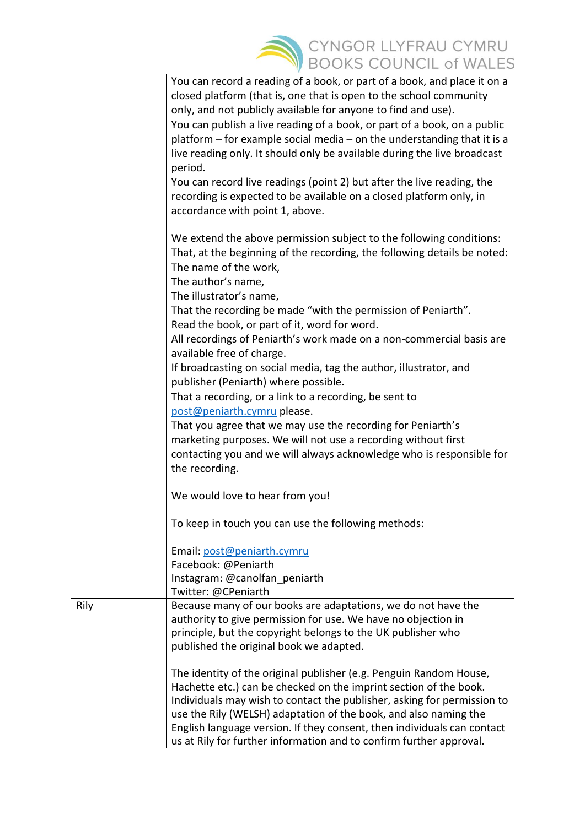

|      | You can record a reading of a book, or part of a book, and place it on a    |
|------|-----------------------------------------------------------------------------|
|      | closed platform (that is, one that is open to the school community          |
|      | only, and not publicly available for anyone to find and use).               |
|      | You can publish a live reading of a book, or part of a book, on a public    |
|      | platform $-$ for example social media $-$ on the understanding that it is a |
|      | live reading only. It should only be available during the live broadcast    |
|      | period.                                                                     |
|      | You can record live readings (point 2) but after the live reading, the      |
|      | recording is expected to be available on a closed platform only, in         |
|      | accordance with point 1, above.                                             |
|      | We extend the above permission subject to the following conditions:         |
|      | That, at the beginning of the recording, the following details be noted:    |
|      | The name of the work,                                                       |
|      | The author's name,                                                          |
|      | The illustrator's name,                                                     |
|      | That the recording be made "with the permission of Peniarth".               |
|      | Read the book, or part of it, word for word.                                |
|      | All recordings of Peniarth's work made on a non-commercial basis are        |
|      | available free of charge.                                                   |
|      | If broadcasting on social media, tag the author, illustrator, and           |
|      | publisher (Peniarth) where possible.                                        |
|      | That a recording, or a link to a recording, be sent to                      |
|      | post@peniarth.cymru please.                                                 |
|      | That you agree that we may use the recording for Peniarth's                 |
|      | marketing purposes. We will not use a recording without first               |
|      | contacting you and we will always acknowledge who is responsible for        |
|      | the recording.                                                              |
|      |                                                                             |
|      | We would love to hear from you!                                             |
|      | To keep in touch you can use the following methods:                         |
|      | Email: post@peniarth.cymru                                                  |
|      | Facebook: @Peniarth                                                         |
|      | Instagram: @canolfan peniarth                                               |
|      | Twitter: @CPeniarth                                                         |
| Rily | Because many of our books are adaptations, we do not have the               |
|      | authority to give permission for use. We have no objection in               |
|      | principle, but the copyright belongs to the UK publisher who                |
|      | published the original book we adapted.                                     |
|      | The identity of the original publisher (e.g. Penguin Random House,          |
|      | Hachette etc.) can be checked on the imprint section of the book.           |
|      | Individuals may wish to contact the publisher, asking for permission to     |
|      | use the Rily (WELSH) adaptation of the book, and also naming the            |
|      | English language version. If they consent, then individuals can contact     |
|      | us at Rily for further information and to confirm further approval.         |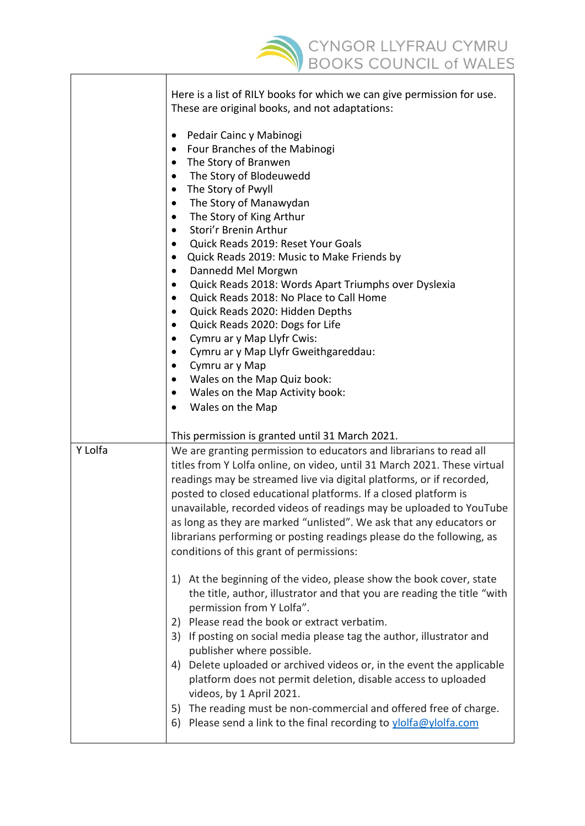

|         | Here is a list of RILY books for which we can give permission for use.<br>These are original books, and not adaptations:<br>Pedair Cainc y Mabinogi<br>Four Branches of the Mabinogi<br>$\bullet$<br>The Story of Branwen                                                                                                                                                                                                                                                                                                                                    |
|---------|--------------------------------------------------------------------------------------------------------------------------------------------------------------------------------------------------------------------------------------------------------------------------------------------------------------------------------------------------------------------------------------------------------------------------------------------------------------------------------------------------------------------------------------------------------------|
|         | The Story of Blodeuwedd<br>$\bullet$<br>The Story of Pwyll<br>٠<br>The Story of Manawydan<br>٠<br>The Story of King Arthur<br>$\bullet$<br>Stori'r Brenin Arthur<br>$\bullet$<br>Quick Reads 2019: Reset Your Goals<br>Quick Reads 2019: Music to Make Friends by<br>Dannedd Mel Morgwn<br>$\bullet$<br>Quick Reads 2018: Words Apart Triumphs over Dyslexia<br>$\bullet$                                                                                                                                                                                    |
|         | Quick Reads 2018: No Place to Call Home<br>$\bullet$<br>Quick Reads 2020: Hidden Depths<br>$\bullet$<br>Quick Reads 2020: Dogs for Life<br>$\bullet$<br>Cymru ar y Map Llyfr Cwis:<br>٠<br>Cymru ar y Map Llyfr Gweithgareddau:<br>Cymru ar y Map<br>$\bullet$<br>Wales on the Map Quiz book:<br>Wales on the Map Activity book:<br>$\bullet$<br>Wales on the Map<br>٠                                                                                                                                                                                       |
|         | This permission is granted until 31 March 2021.                                                                                                                                                                                                                                                                                                                                                                                                                                                                                                              |
| Y Lolfa | We are granting permission to educators and librarians to read all<br>titles from Y Lolfa online, on video, until 31 March 2021. These virtual<br>readings may be streamed live via digital platforms, or if recorded,<br>posted to closed educational platforms. If a closed platform is<br>unavailable, recorded videos of readings may be uploaded to YouTube<br>as long as they are marked "unlisted". We ask that any educators or<br>librarians performing or posting readings please do the following, as<br>conditions of this grant of permissions: |
|         | At the beginning of the video, please show the book cover, state<br>1)<br>the title, author, illustrator and that you are reading the title "with<br>permission from Y Lolfa".<br>Please read the book or extract verbatim.<br>2)<br>If posting on social media please tag the author, illustrator and<br>3)<br>publisher where possible.<br>Delete uploaded or archived videos or, in the event the applicable<br>4)<br>platform does not permit deletion, disable access to uploaded<br>videos, by 1 April 2021.                                           |
|         | The reading must be non-commercial and offered free of charge.<br>5)<br>Please send a link to the final recording to ylolfa@ylolfa.com<br>6)                                                                                                                                                                                                                                                                                                                                                                                                                 |